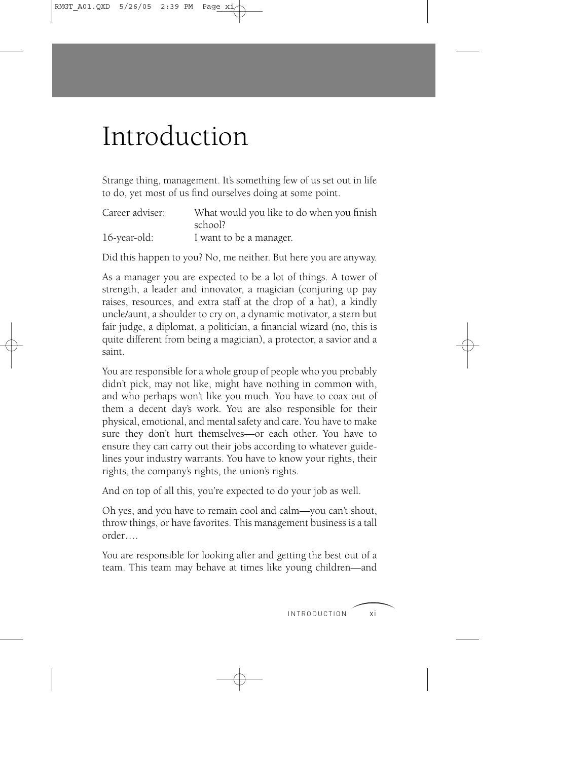## Introduction

Strange thing, management. It's something few of us set out in life to do, yet most of us find ourselves doing at some point.

| Career adviser: | What would you like to do when you finish |
|-----------------|-------------------------------------------|
|                 | school?                                   |
| 16-year-old:    | I want to be a manager.                   |

Did this happen to you? No, me neither. But here you are anyway.

As a manager you are expected to be a lot of things. A tower of strength, a leader and innovator, a magician (conjuring up pay raises, resources, and extra staff at the drop of a hat), a kindly uncle/aunt, a shoulder to cry on, a dynamic motivator, a stern but fair judge, a diplomat, a politician, a financial wizard (no, this is quite different from being a magician), a protector, a savior and a saint.

You are responsible for a whole group of people who you probably didn't pick, may not like, might have nothing in common with, and who perhaps won't like you much. You have to coax out of them a decent day's work. You are also responsible for their physical, emotional, and mental safety and care. You have to make sure they don't hurt themselves—or each other. You have to ensure they can carry out their jobs according to whatever guidelines your industry warrants. You have to know your rights, their rights, the company's rights, the union's rights.

And on top of all this, you're expected to do your job as well.

Oh yes, and you have to remain cool and calm—you can't shout, throw things, or have favorites. This management business is a tall order….

You are responsible for looking after and getting the best out of a team. This team may behave at times like young children—and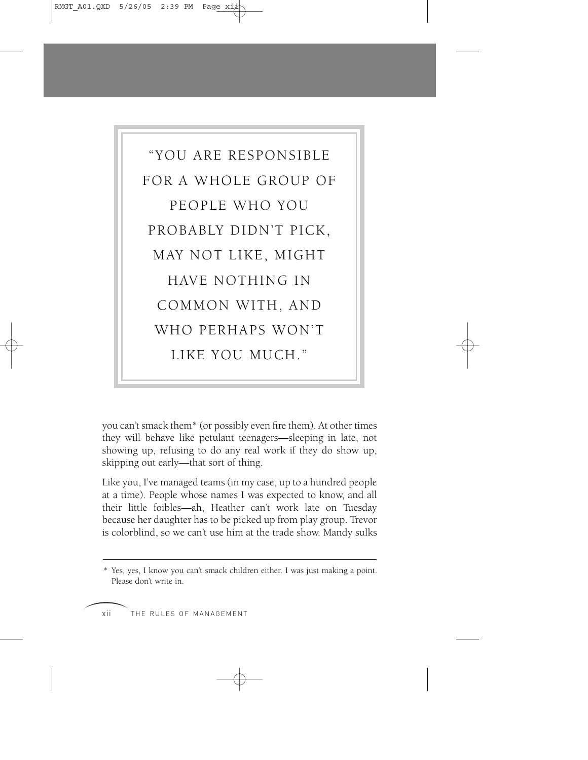"YOU ARE RESPONSIBLE FOR A WHOLE GROUP OF PEOPLE WHO YOU PROBABLY DIDN'T PICK, MAY NOT LIKE, MIGHT HAVE NOTHING IN COMMON WITH, AND WHO PERHAPS WON'T LIKE YOU MUCH."

you can't smack them\* (or possibly even fire them). At other times they will behave like petulant teenagers—sleeping in late, not showing up, refusing to do any real work if they do show up, skipping out early—that sort of thing.

Like you, I've managed teams (in my case, up to a hundred people at a time). People whose names I was expected to know, and all their little foibles—ah, Heather can't work late on Tuesday because her daughter has to be picked up from play group. Trevor is colorblind, so we can't use him at the trade show. Mandy sulks

<sup>\*</sup> Yes, yes, I know you can't smack children either. I was just making a point. Please don't write in.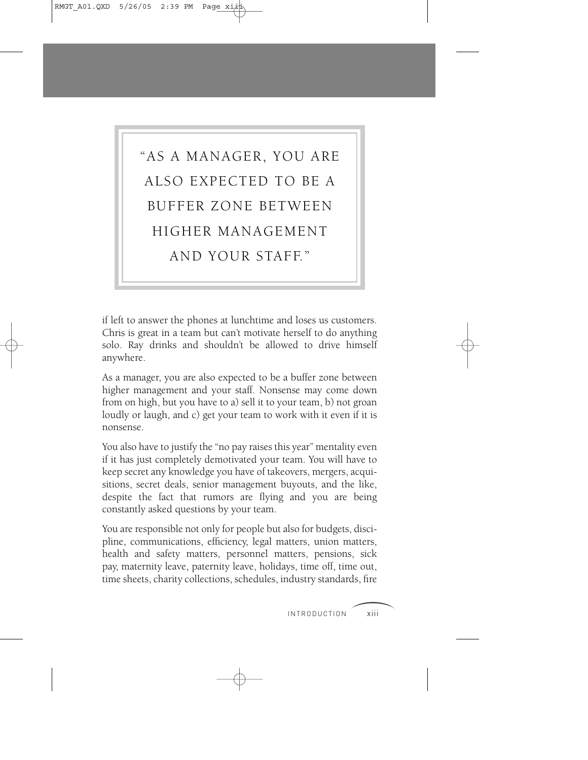"AS A MANAGER, YOU ARE ALSO EXPECTED TO BE A BUFFER ZONE BETWEEN HIGHER MANAGEMENT AND YOUR STAFF."

if left to answer the phones at lunchtime and loses us customers. Chris is great in a team but can't motivate herself to do anything solo. Ray drinks and shouldn't be allowed to drive himself anywhere.

As a manager, you are also expected to be a buffer zone between higher management and your staff. Nonsense may come down from on high, but you have to a) sell it to your team, b) not groan loudly or laugh, and c) get your team to work with it even if it is nonsense.

You also have to justify the "no pay raises this year" mentality even if it has just completely demotivated your team. You will have to keep secret any knowledge you have of takeovers, mergers, acquisitions, secret deals, senior management buyouts, and the like, despite the fact that rumors are flying and you are being constantly asked questions by your team.

You are responsible not only for people but also for budgets, discipline, communications, efficiency, legal matters, union matters, health and safety matters, personnel matters, pensions, sick pay, maternity leave, paternity leave, holidays, time off, time out, time sheets, charity collections, schedules, industry standards, fire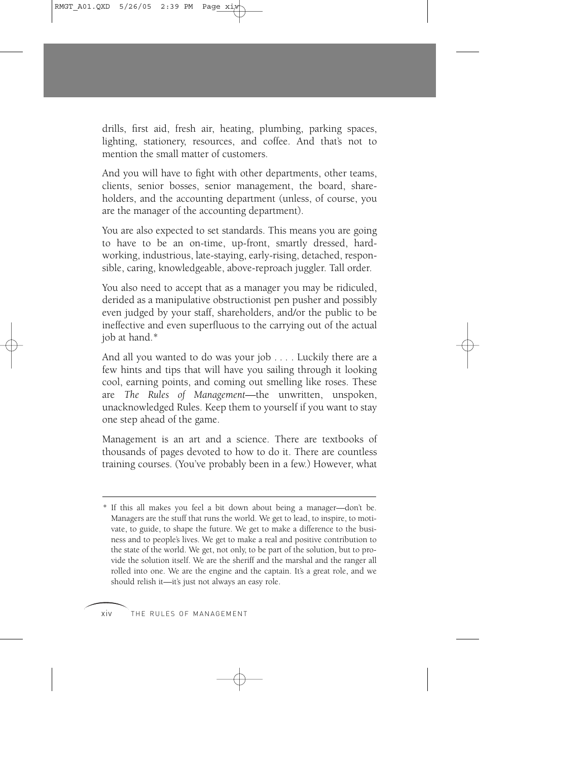drills, first aid, fresh air, heating, plumbing, parking spaces, lighting, stationery, resources, and coffee. And that's not to mention the small matter of customers.

And you will have to fight with other departments, other teams, clients, senior bosses, senior management, the board, shareholders, and the accounting department (unless, of course, you are the manager of the accounting department).

You are also expected to set standards. This means you are going to have to be an on-time, up-front, smartly dressed, hardworking, industrious, late-staying, early-rising, detached, responsible, caring, knowledgeable, above-reproach juggler. Tall order.

You also need to accept that as a manager you may be ridiculed, derided as a manipulative obstructionist pen pusher and possibly even judged by your staff, shareholders, and/or the public to be ineffective and even superfluous to the carrying out of the actual job at hand.\*

And all you wanted to do was your job . . . . Luckily there are a few hints and tips that will have you sailing through it looking cool, earning points, and coming out smelling like roses. These are *The Rules of Management*—the unwritten, unspoken, unacknowledged Rules. Keep them to yourself if you want to stay one step ahead of the game.

Management is an art and a science. There are textbooks of thousands of pages devoted to how to do it. There are countless training courses. (You've probably been in a few.) However, what

<sup>\*</sup> If this all makes you feel a bit down about being a manager—don't be. Managers are the stuff that runs the world. We get to lead, to inspire, to motivate, to guide, to shape the future. We get to make a difference to the business and to people's lives. We get to make a real and positive contribution to the state of the world. We get, not only, to be part of the solution, but to provide the solution itself. We are the sheriff and the marshal and the ranger all rolled into one. We are the engine and the captain. It's a great role, and we should relish it—it's just not always an easy role.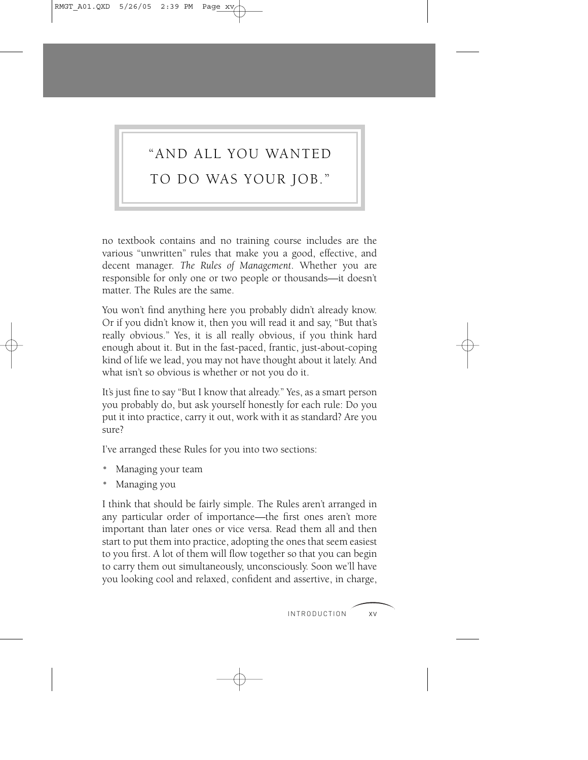## "AND ALL YOU WANTED TO DO WAS YOUR JOB."

no textbook contains and no training course includes are the various "unwritten" rules that make you a good, effective, and decent manager. *The Rules of Management*. Whether you are responsible for only one or two people or thousands—it doesn't matter. The Rules are the same.

You won't find anything here you probably didn't already know. Or if you didn't know it, then you will read it and say, "But that's really obvious." Yes, it is all really obvious, if you think hard enough about it. But in the fast-paced, frantic, just-about-coping kind of life we lead, you may not have thought about it lately. And what isn't so obvious is whether or not you do it.

It's just fine to say "But I know that already." Yes, as a smart person you probably do, but ask yourself honestly for each rule: Do you put it into practice, carry it out, work with it as standard? Are you sure?

I've arranged these Rules for you into two sections:

- Managing your team
- Managing you

I think that should be fairly simple. The Rules aren't arranged in any particular order of importance—the first ones aren't more important than later ones or vice versa. Read them all and then start to put them into practice, adopting the ones that seem easiest to you first. A lot of them will flow together so that you can begin to carry them out simultaneously, unconsciously. Soon we'll have you looking cool and relaxed, confident and assertive, in charge,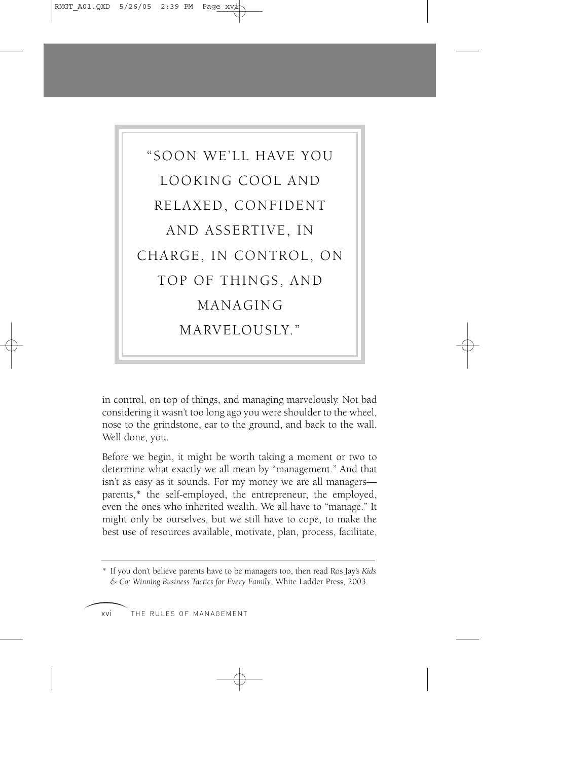

in control, on top of things, and managing marvelously. Not bad considering it wasn't too long ago you were shoulder to the wheel, nose to the grindstone, ear to the ground, and back to the wall. Well done, you.

Before we begin, it might be worth taking a moment or two to determine what exactly we all mean by "management." And that isn't as easy as it sounds. For my money we are all managers parents,\* the self-employed, the entrepreneur, the employed, even the ones who inherited wealth. We all have to "manage." It might only be ourselves, but we still have to cope, to make the best use of resources available, motivate, plan, process, facilitate,

<sup>\*</sup> If you don't believe parents have to be managers too, then read Ros Jay's *Kids & Co: Winning Business Tactics for Every Family*, White Ladder Press, 2003.